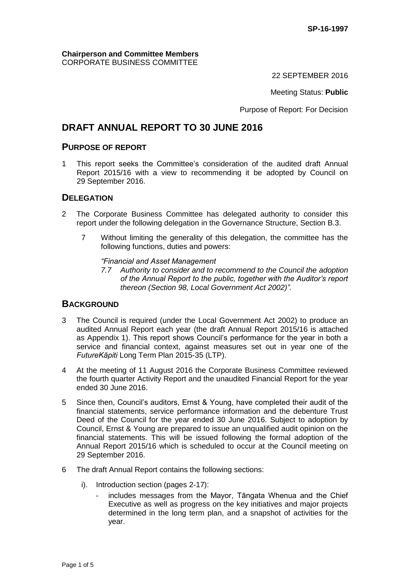#### **Chairperson and Committee Members** CORPORATE BUSINESS COMMITTEE

22 SEPTEMBER 2016

Meeting Status: **Public**

Purpose of Report: For Decision

# **DRAFT ANNUAL REPORT TO 30 JUNE 2016**

### **PURPOSE OF REPORT**

1 This report seeks the Committee's consideration of the audited draft Annual Report 2015/16 with a view to recommending it be adopted by Council on 29 September 2016.

### **DELEGATION**

- 2 The Corporate Business Committee has delegated authority to consider this report under the following delegation in the Governance Structure, Section B.3.
	- 7 Without limiting the generality of this delegation, the committee has the following functions, duties and powers:

*"Financial and Asset Management*

*7.7 Authority to consider and to recommend to the Council the adoption of the Annual Report to the public, together with the Auditor's report thereon (Section 98, Local Government Act 2002)".*

### **BACKGROUND**

- 3 The Council is required (under the Local Government Act 2002) to produce an audited Annual Report each year (the draft Annual Report 2015/16 is attached as Appendix 1). This report shows Council's performance for the year in both a service and financial context, against measures set out in year one of the *FutureKāpiti* Long Term Plan 2015-35 (LTP).
- 4 At the meeting of 11 August 2016 the Corporate Business Committee reviewed the fourth quarter Activity Report and the unaudited Financial Report for the year ended 30 June 2016.
- 5 Since then, Council's auditors, Ernst & Young, have completed their audit of the financial statements, service performance information and the debenture Trust Deed of the Council for the year ended 30 June 2016. Subject to adoption by Council, Ernst & Young are prepared to issue an unqualified audit opinion on the financial statements. This will be issued following the formal adoption of the Annual Report 2015/16 which is scheduled to occur at the Council meeting on 29 September 2016.
- 6 The draft Annual Report contains the following sections:
	- i). Introduction section (pages 2-17):
		- includes messages from the Mayor, Tāngata Whenua and the Chief Executive as well as progress on the key initiatives and major projects determined in the long term plan, and a snapshot of activities for the year.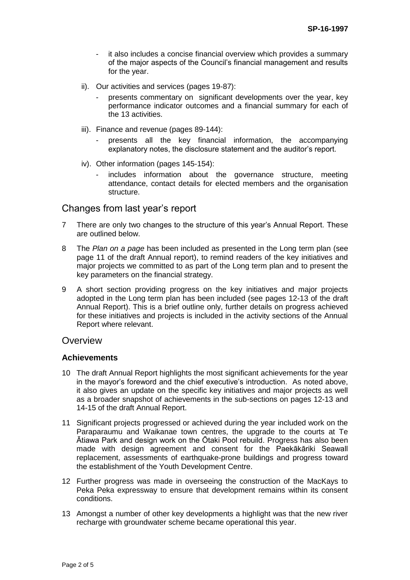- it also includes a concise financial overview which provides a summary of the major aspects of the Council's financial management and results for the year.
- ii). Our activities and services (pages 19-87):
	- presents commentary on significant developments over the year, key performance indicator outcomes and a financial summary for each of the 13 activities.
- iii). Finance and revenue (pages 89-144):
	- presents all the key financial information, the accompanying explanatory notes, the disclosure statement and the auditor's report.
- iv). Other information (pages 145-154):
	- includes information about the governance structure, meeting attendance, contact details for elected members and the organisation structure.

# Changes from last year's report

- 7 There are only two changes to the structure of this year's Annual Report. These are outlined below.
- 8 The *Plan on a page* has been included as presented in the Long term plan (see page 11 of the draft Annual report), to remind readers of the key initiatives and major projects we committed to as part of the Long term plan and to present the key parameters on the financial strategy.
- 9 A short section providing progress on the key initiatives and major projects adopted in the Long term plan has been included (see pages 12-13 of the draft Annual Report). This is a brief outline only, further details on progress achieved for these initiatives and projects is included in the activity sections of the Annual Report where relevant.

#### **Overview**

#### **Achievements**

- 10 The draft Annual Report highlights the most significant achievements for the year in the mayor's foreword and the chief executive's introduction. As noted above, it also gives an update on the specific key initiatives and major projects as well as a broader snapshot of achievements in the sub-sections on pages 12-13 and 14-15 of the draft Annual Report.
- 11 Significant projects progressed or achieved during the year included work on the Paraparaumu and Waikanae town centres, the upgrade to the courts at Te Ātiawa Park and design work on the Ōtaki Pool rebuild. Progress has also been made with design agreement and consent for the Paekākāriki Seawall replacement, assessments of earthquake-prone buildings and progress toward the establishment of the Youth Development Centre.
- 12 Further progress was made in overseeing the construction of the MacKays to Peka Peka expressway to ensure that development remains within its consent conditions.
- 13 Amongst a number of other key developments a highlight was that the new river recharge with groundwater scheme became operational this year.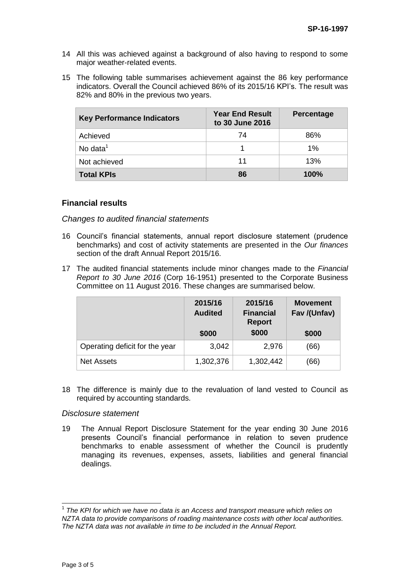- 14 All this was achieved against a background of also having to respond to some major weather-related events.
- 15 The following table summarises achievement against the 86 key performance indicators. Overall the Council achieved 86% of its 2015/16 KPI's. The result was 82% and 80% in the previous two years.

| <b>Key Performance Indicators</b> | <b>Year End Result</b><br>to 30 June 2016 | <b>Percentage</b> |
|-----------------------------------|-------------------------------------------|-------------------|
| Achieved                          | 74                                        | 86%               |
| No data $1$                       |                                           | $1\%$             |
| Not achieved                      | 11                                        | 13%               |
| <b>Total KPIs</b>                 | 86                                        | 100%              |

#### **Financial results**

*Changes to audited financial statements*

- 16 Council's financial statements, annual report disclosure statement (prudence benchmarks) and cost of activity statements are presented in the *Our finances* section of the draft Annual Report 2015/16.
- 17 The audited financial statements include minor changes made to the *Financial Report to 30 June 2016* (Corp 16-1951) presented to the Corporate Business Committee on 11 August 2016. These changes are summarised below.

|                                | 2015/16<br><b>Audited</b> | 2015/16<br><b>Financial</b><br><b>Report</b> | <b>Movement</b><br>Fav /(Unfav) |
|--------------------------------|---------------------------|----------------------------------------------|---------------------------------|
|                                | \$000                     | \$000                                        | \$000                           |
| Operating deficit for the year | 3,042                     | 2,976                                        | (66)                            |
| <b>Net Assets</b>              | 1,302,376                 | 1,302,442                                    | (66)                            |

18 The difference is mainly due to the revaluation of land vested to Council as required by accounting standards.

#### *Disclosure statement*

19 The Annual Report Disclosure Statement for the year ending 30 June 2016 presents Council's financial performance in relation to seven prudence benchmarks to enable assessment of whether the Council is prudently managing its revenues, expenses, assets, liabilities and general financial dealings.

 1 *The KPI for which we have no data is an Access and transport measure which relies on NZTA data to provide comparisons of roading maintenance costs with other local authorities. The NZTA data was not available in time to be included in the Annual Report.*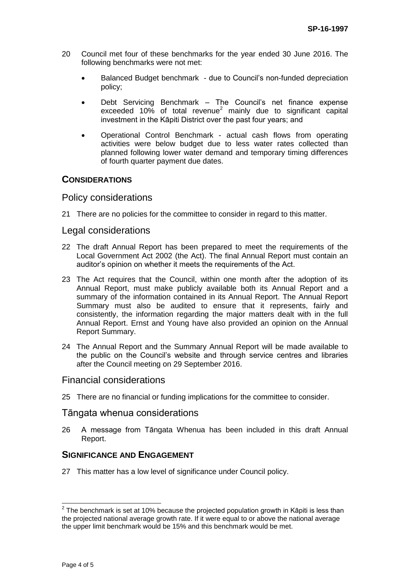- 20 Council met four of these benchmarks for the year ended 30 June 2016. The following benchmarks were not met:
	- Balanced Budget benchmark due to Council's non-funded depreciation policy;
	- Debt Servicing Benchmark The Council's net finance expense exceeded 10% of total revenue<sup>2</sup> mainly due to significant capital investment in the Kāpiti District over the past four years; and
	- Operational Control Benchmark actual cash flows from operating activities were below budget due to less water rates collected than planned following lower water demand and temporary timing differences of fourth quarter payment due dates.

### **CONSIDERATIONS**

### Policy considerations

21 There are no policies for the committee to consider in regard to this matter.

### Legal considerations

- 22 The draft Annual Report has been prepared to meet the requirements of the Local Government Act 2002 (the Act). The final Annual Report must contain an auditor's opinion on whether it meets the requirements of the Act.
- 23 The Act requires that the Council, within one month after the adoption of its Annual Report, must make publicly available both its Annual Report and a summary of the information contained in its Annual Report. The Annual Report Summary must also be audited to ensure that it represents, fairly and consistently, the information regarding the major matters dealt with in the full Annual Report. Ernst and Young have also provided an opinion on the Annual Report Summary.
- 24 The Annual Report and the Summary Annual Report will be made available to the public on the Council's website and through service centres and libraries after the Council meeting on 29 September 2016.

### Financial considerations

25 There are no financial or funding implications for the committee to consider.

#### Tāngata whenua considerations

26 A message from Tāngata Whenua has been included in this draft Annual Report.

# **SIGNIFICANCE AND ENGAGEMENT**

27 This matter has a low level of significance under Council policy.

 2 The benchmark is set at 10% because the projected population growth in Kāpiti is less than the projected national average growth rate. If it were equal to or above the national average the upper limit benchmark would be 15% and this benchmark would be met.